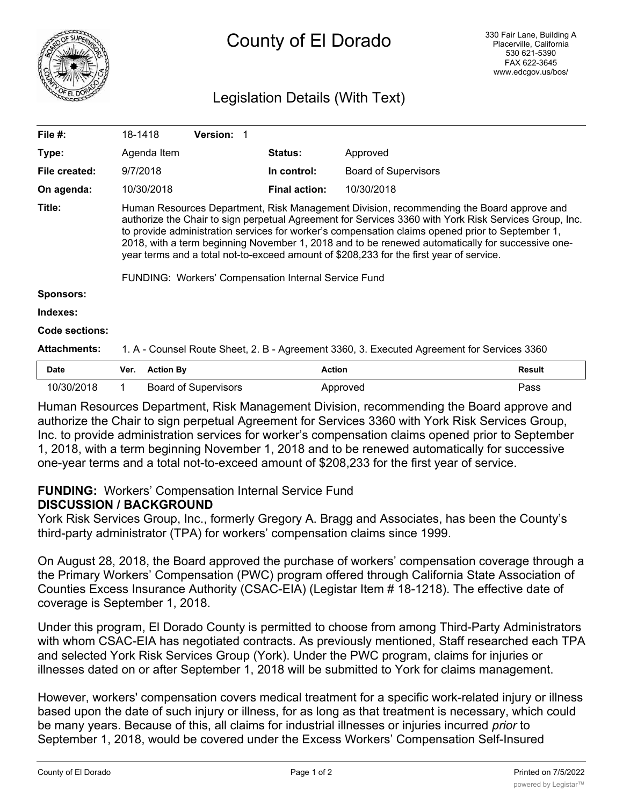

# County of El Dorado

# Legislation Details (With Text)

| File $#$ :          | 18-1418                                                                                                                                                                                                                                                                                                                                                                                                                                                                                                                                                      | <b>Version:</b> |                      |                             |  |
|---------------------|--------------------------------------------------------------------------------------------------------------------------------------------------------------------------------------------------------------------------------------------------------------------------------------------------------------------------------------------------------------------------------------------------------------------------------------------------------------------------------------------------------------------------------------------------------------|-----------------|----------------------|-----------------------------|--|
| Type:               | Agenda Item                                                                                                                                                                                                                                                                                                                                                                                                                                                                                                                                                  |                 | <b>Status:</b>       | Approved                    |  |
| File created:       | 9/7/2018                                                                                                                                                                                                                                                                                                                                                                                                                                                                                                                                                     |                 | In control:          | <b>Board of Supervisors</b> |  |
| On agenda:          | 10/30/2018                                                                                                                                                                                                                                                                                                                                                                                                                                                                                                                                                   |                 | <b>Final action:</b> | 10/30/2018                  |  |
| Title:              | Human Resources Department, Risk Management Division, recommending the Board approve and<br>authorize the Chair to sign perpetual Agreement for Services 3360 with York Risk Services Group, Inc.<br>to provide administration services for worker's compensation claims opened prior to September 1,<br>2018, with a term beginning November 1, 2018 and to be renewed automatically for successive one-<br>year terms and a total not-to-exceed amount of \$208,233 for the first year of service.<br>FUNDING: Workers' Compensation Internal Service Fund |                 |                      |                             |  |
| <b>Sponsors:</b>    |                                                                                                                                                                                                                                                                                                                                                                                                                                                                                                                                                              |                 |                      |                             |  |
| Indexes:            |                                                                                                                                                                                                                                                                                                                                                                                                                                                                                                                                                              |                 |                      |                             |  |
| Code sections:      |                                                                                                                                                                                                                                                                                                                                                                                                                                                                                                                                                              |                 |                      |                             |  |
| <b>Attachments:</b> | 1. A - Counsel Route Sheet, 2. B - Agreement 3360, 3. Executed Agreement for Services 3360                                                                                                                                                                                                                                                                                                                                                                                                                                                                   |                 |                      |                             |  |
| <b>Date</b>         | <b>Action By</b><br>Ver.                                                                                                                                                                                                                                                                                                                                                                                                                                                                                                                                     |                 | <b>Action</b>        | <b>Result</b>               |  |

10/30/2018 1 Board of Supervisors Approved Approved Pass Human Resources Department, Risk Management Division, recommending the Board approve and authorize the Chair to sign perpetual Agreement for Services 3360 with York Risk Services Group, Inc. to provide administration services for worker's compensation claims opened prior to September 1, 2018, with a term beginning November 1, 2018 and to be renewed automatically for successive

one-year terms and a total not-to-exceed amount of \$208,233 for the first year of service.

# **FUNDING:** Workers' Compensation Internal Service Fund

# **DISCUSSION / BACKGROUND**

York Risk Services Group, Inc., formerly Gregory A. Bragg and Associates, has been the County's third-party administrator (TPA) for workers' compensation claims since 1999.

On August 28, 2018, the Board approved the purchase of workers' compensation coverage through a the Primary Workers' Compensation (PWC) program offered through California State Association of Counties Excess Insurance Authority (CSAC-EIA) (Legistar Item # 18-1218). The effective date of coverage is September 1, 2018.

Under this program, El Dorado County is permitted to choose from among Third-Party Administrators with whom CSAC-EIA has negotiated contracts. As previously mentioned, Staff researched each TPA and selected York Risk Services Group (York). Under the PWC program, claims for injuries or illnesses dated on or after September 1, 2018 will be submitted to York for claims management.

However, workers' compensation covers medical treatment for a specific work-related injury or illness based upon the date of such injury or illness, for as long as that treatment is necessary, which could be many years. Because of this, all claims for industrial illnesses or injuries incurred *prior* to September 1, 2018, would be covered under the Excess Workers' Compensation Self-Insured